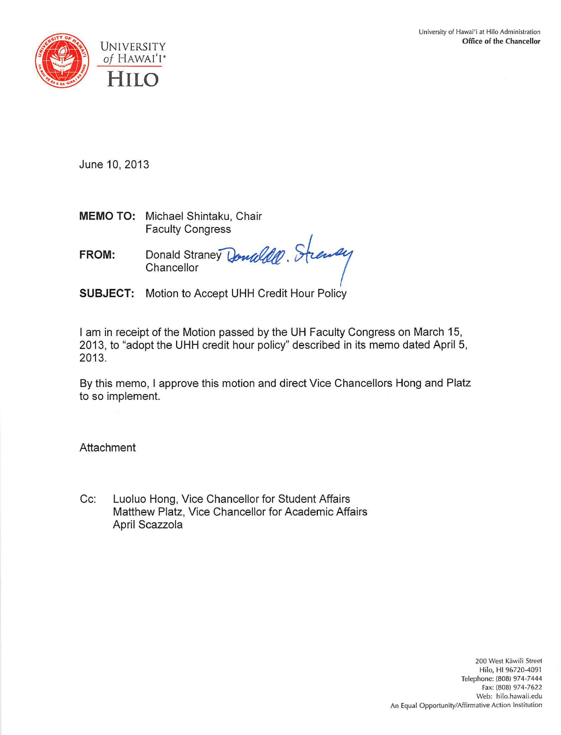

June 10, 2013

**MEMO TO:**  Michael Shintaku, Chair Faculty Congress

**FROM:**  Donald Chancellor

**SUBJECT:**  Motion to Accept **UHH** Credit Hour Policy

I am in receipt of the Motion passed by the **UH** Faculty Congress on March 15, 2013, to "adopt the UHH credit hour policy" described in its memo dated April 5, 2013.

By this memo, I approve this motion and direct Vice Chancellors Hong and Platz to so implement.

**Attachment** 

Cc: Luoluo Hong, Vice Chancellor for Student Affairs Matthew Platz, Vice Chancellor for Academic Affairs April Scazzola

> 200 West Käwili Street Hilo, HI 96720-4091 Telephone: (808) 974-7444 Fax: (808) 974-7622 Web: hilo.hawaii.edu An Equal Opportunity/Affirmative Action Institution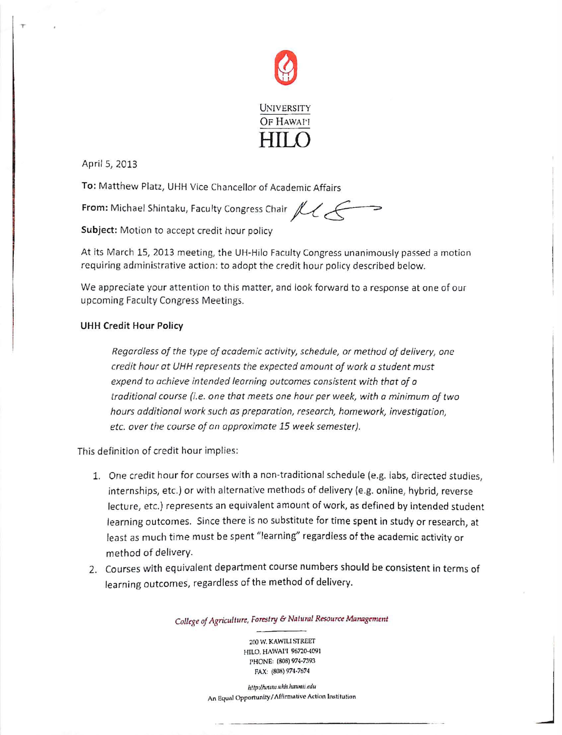

April 5, 2013

To: Matthew Platz, UHH Vice Chancellor of Academic Affairs

From: Michael Shintaku, Faculty Congress Chair  $M$ 

Subject: Motion to accept credit hour policy

At its March 15, 2013 meeting, the UH-Hilo Faculty Congress unanimously passed a motion requiring administrative action: to adopt the credit hour policy described below.

We appreciate your attention to this matter, and look forward to a response at one of our upcoming Faculty Congress Meetings.

#### **UHH Credit Hour Policy**

*Regardless of the type of academic activity, schedule, or method of delivery, one credit hour at UHH represents the expected amount of work a student must expend to achieve intended learning outcomes consistent with that of o traditional course (i.e. one that meets one hour per week, with a minimum of two hours additional work such as preparation, research, homework, investigation, etc. over the course of on approximate 15 week semester).* 

This definition of credit hour implies:

- 1. One credit hour for courses with a non-traditional schedule (e.g. labs, directed studies, internships, etc.) or with alternative methods of delivery (e.g. online, hybrid, reverse lecture, etc.) represents an equivalent amount of work, as defined by intended student learning outcomes. Since there is no substitute for time spent in study or research, at least as much time must be spent "learning" regardless of the academic activity or method of delivery.
- 2. Courses with equivalent department course numbers should be consistent in terms of learning outcomes, regardless of the method of delivery.

College of Agriculture, Forestry & Natural Resource Management

200 W. KAWILI STREET HILO, HAWAI'I 96720-4091 PHONE: (808) 974-7393 FAX: (808) 974-7674

http://www.uhh.hawaii.edu An Equal Opportunity/Affirmative Action Institution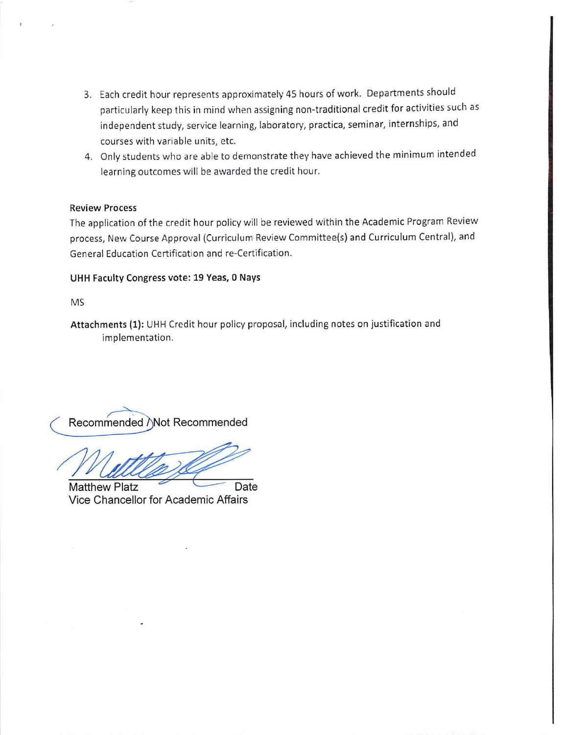- 3. Each credit hour represents approximately 45 hours of work. Departments should particularly keep this in mind when assigning non-traditional credit for activities such as independent study, service learning, laboratory, practica, seminar, internships, and courses with variable units, etc.
- 4. Only students who are able to demonstrate they have achieved the minimum intended learning outcomes will be awarded the credit hour.

#### **Review Process**

The application of the credit hour policy will be reviewed within the Academic Program Review process, New Course Approval (Curriculum Review Committee(s) and Curriculum Central), and General Education Certification and re-Certification.

#### UHH Faculty Congress vote: 19 Yeas, O Nays

MS

**Attachments (1):** UHH Credit hour policy proposal, including notes on justification and implementation.

Recommended / Not Recommended

**Matthew Platz** Date Vice Chancellor for Academic Affairs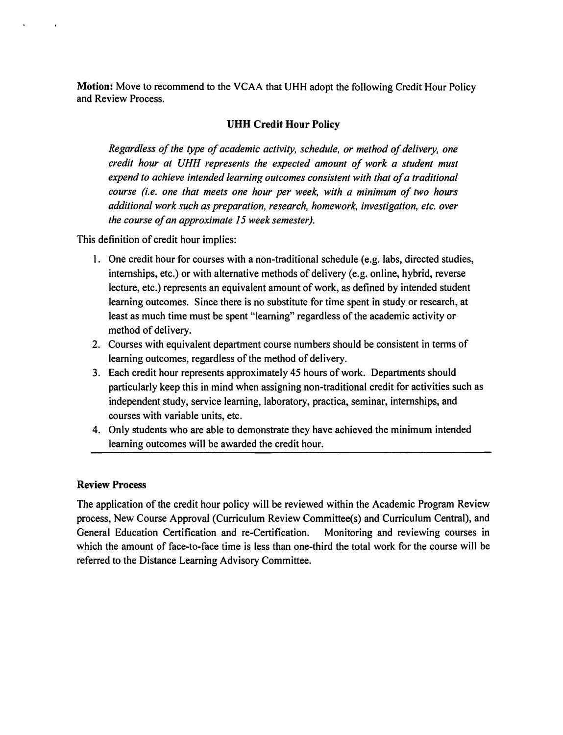**Motion:** Move to recommend to the VCAA that UHH adopt the following Credit Hour Policy and Review Process.

# **UHH Credit Hour Policy**

*Regardless of the type of academic activity, schedule, or method of delivery, one credit hour at UHH represents the expected amount of work a student must expend to achieve intended learning outcomes consistent with that of a traditional course (i.e. one that meets one hour per week, with a minimum of two hours additional work such as preparation, research, homework, investigation, etc. over the course of an approximate 15 week semester).* 

This definition of credit hour implies:

- I. One credit hour for courses with a non-traditional schedule ( e.g. labs, directed studies, internships, etc.) or with alternative methods of delivery (e.g. online, hybrid, reverse lecture, etc.) represents an equivalent amount of work, as defined by intended student learning outcomes. Since there is no substitute for time spent in study or research, at least as much time must be spent "learning" regardless of the academic activity or method of delivery.
- 2. Courses with equivalent department course numbers should be consistent in terms of learning outcomes, regardless of the method of delivery.
- 3. Each credit hour represents approximately 45 hours of work. Departments should particularly keep this in mind when assigning non-traditional credit for activities such as independent study, service learning, laboratory, practica, seminar, internships, and courses with variable units, etc.
- 4. Only students who are able to demonstrate they have achieved the minimum intended learning outcomes will be awarded the credit hour.

#### **Review Process**

The application of the credit hour policy will be reviewed within the Academic Program Review process, New Course Approval (Curriculum Review Committee(s) and Curriculum Central), and General Education Certification and re-Certification. Monitoring and reviewing courses in which the amount of face-to-face time is less than one-third the total work for the course will be referred to the Distance Leaming Advisory Committee.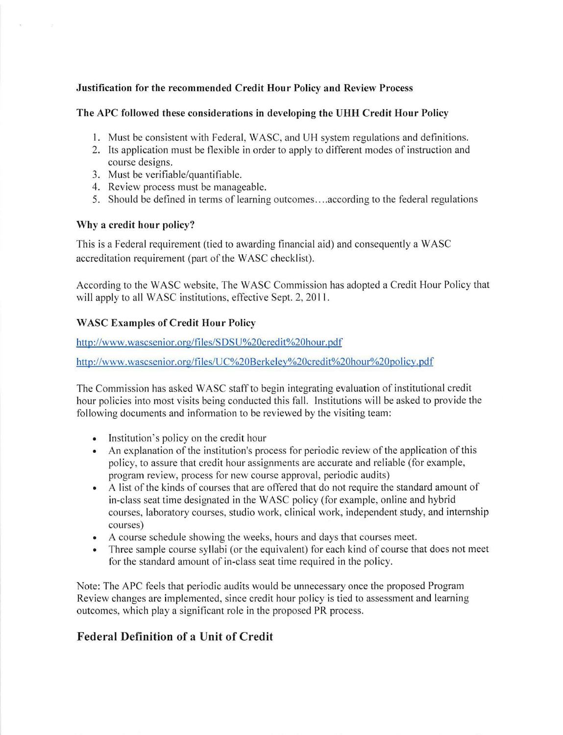# **Justification for the recommended Credit Hour Policy and Review Process**

#### **The APC followed these considerations in developing the UHH Credit Hour Policy**

- 1. Must be consistent with Federal, WASC, and UH system regulations and definitions.
- 2. Its application must be flexible in order to apply to different modes of instruction and course designs.
- 3. Must be verifiable/quantifiable.
- 4. Review process must be manageable.
- 5. Should be defined in terms of learning outcomes .... according to the federal regulations

## **Why a credit hour policy?**

This is a Federal requirement (tied to awarding financial aid) and consequently a WASC accreditation requirement (part of the WASC checklist).

According to the WASC website, The WASC Commission has adopted a Credit Hour Policy that will apply to all WASC institutions, effective Sept. 2, 2011.

# **WASC Examples of Credit Hour Policy**

http://www.wascsenior.org/files/SDSU%20credit%20hour.pdf

http://www.wascsenior.org/files/UC%20Berke1ey%20credit%20hour%20po1icy.pdf

The Commission has asked WASC staff to begin integrating evaluation of institutional credit hour policies into most visits being conducted this fall. Institutions will be asked to provide the following documents and information to be reviewed by the visiting team:

- Institution's policy on the credit hour
- An explanation of the institution's process for periodic review of the application of this policy, to assure that credit hour assignments are accurate and reliable (for example, program review, process for new course approval, periodic audits)
- A list of the kinds of courses that are offered that do not require the standard amount of in-class seat time designated in the WASC policy (for example, online and hybrid courses, laboratory courses, studio work, clinical work, independent study, and internship courses)
- A course schedule showing the weeks, hours and days that courses meet.
- Three sample course syllabi (or the equivalent) for each kind of course that does not meet for the standard amount of in-class seat time required in the policy.

Note: The APC feels that periodic audits would be unnecessary once the proposed Program Review changes are implemented, since credit hour policy is tied to assessment and learning outcomes, which play a significant role in the proposed PR process.

# **Federal Definition of a Unit of Credit**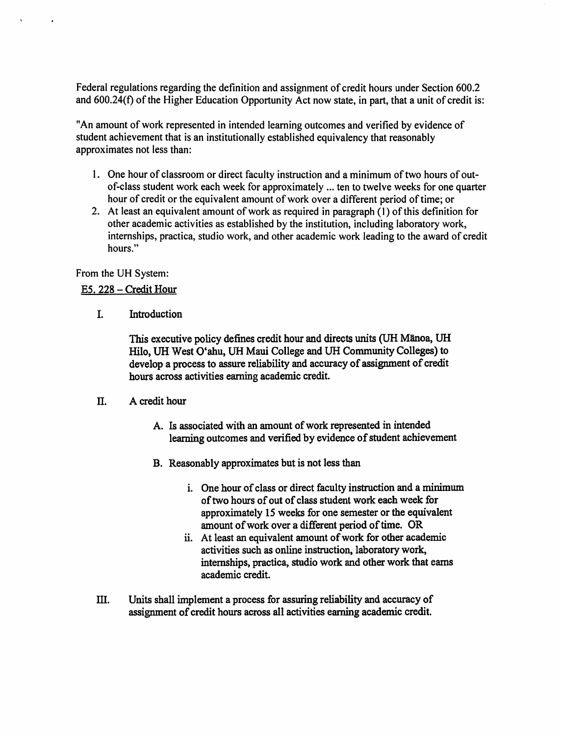Federal regulations regarding the definition and assignment of credit hours under Section 600.2 and 600.24(t) of the Higher Education Opportunity Act now state, in part, that a unit of credit is:

"An amount of work represented in intended learning outcomes and verified by evidence of student achievement that is an institutionally established equivalency that reasonably approximates not less than:

- 1. One hour of classroom or direct faculty instruction and a minimum of two hours of outof-class student work each week for approximately ... ten to twelve weeks for one quarter hour of credit or the equivalent amount of work over a different period of time; or
- 2. At least an equivalent amount of work as required in paragraph (I) of this definition for other academic activities as established by the institution, including laboratory work, internships, practica, studio work, and other academic work leading to the award of credit hours."

From the UH System:

E5. 228 - Credit Hour

I. Introduction

This executive policy defines credit hour and directs units (UH Mānoa, UH Hilo, UH West O'ahu, UH Maui College and UH Community Colleges) to develop a process to assure reliability and accuracy of assignment of credit hours across activities earning academic credit.

- II. A credit hour
	- A. Is associated with an amount of work represented in intended learning outcomes and verified by evidence of student achievement
	- B. Reasonably approximates but is not less than
		- i. One hour of class or direct faculty instruction and a minimum of two hours of out of class student work each week for approximately 15 weeks for one semester or the equivalent amount of work over a different period of time. OR
		- ii. At least an equivalent amount of work for other academic activities such as online instruction, laboratory work, internships, practica, studio work and other work that earns academic credit.
- Units shall implement a process for assuring reliability and accuracy of Ш. assignment of credit hours across all activities earning academic credit.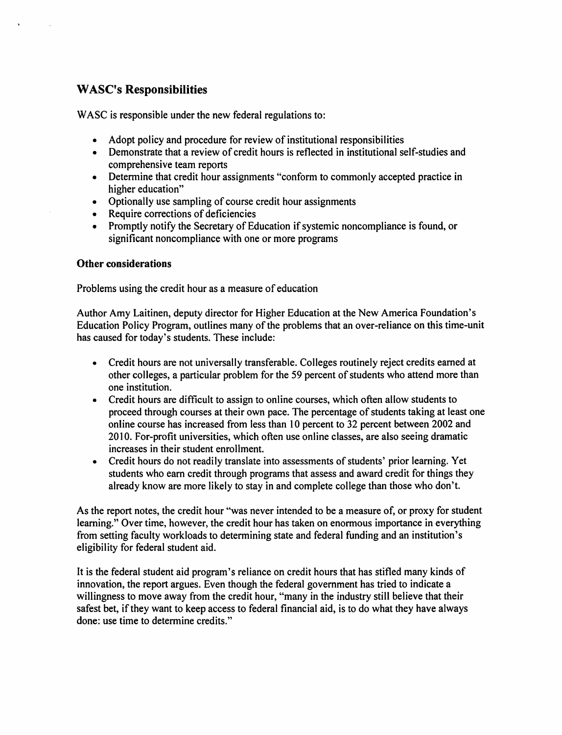# **W ASC's Responsibilities**

WASC is responsible under the new federal regulations to:

- Adopt policy and procedure for review of institutional responsibilities
- Demonstrate that a review of credit hours is reflected in institutional self-studies and comprehensive team reports
- Determine that credit hour assignments "conform to commonly accepted practice in higher education"
- Optionally use sampling of course credit hour assignments
- Require corrections of deficiencies
- Promptly notify the Secretary of Education if systemic noncompliance is found, or significant noncompliance with one or more programs

## **Other considerations**

Problems using the credit hour as a measure of education

Author Amy Laitinen, deputy director for Higher Education at the New America Foundation's Education Policy Program, outlines many of the problems that an over-reliance on this time-unit has caused for today's students. These include:

- Credit hours are not universally transferable. Colleges routinely reject credits earned at other colleges, a particular problem for the 59 percent of students who attend more than one institution.
- Credit hours are difficult to assign to online courses, which often allow students to proceed through courses at their own pace. The percentage of students taking at least one online course has increased from less than IO percent to 32 percent between 2002 and 2010. For-profit universities, which often use online classes, are also seeing dramatic increases in their student enrollment.
- Credit hours do not readily translate into assessments of students' prior learning. Yet  $\bullet$ students who earn credit through programs that assess and award credit for things they already know are more likely to stay in and complete college than those who don't.

As the report notes, the credit hour "was never intended to be a measure of, or proxy for student learning." Over time, however, the credit hour has taken on enormous importance in everything from setting faculty workloads to determining state and federal funding and an institution's eligibility for federal student aid.

It is the federal student aid program's reliance on credit hours that has stifled many kinds of innovation, the report argues. Even though the federal government has tried to indicate a willingness to move away from the credit hour, "many in the industry still believe that their safest bet, if they want to keep access to federal financial aid, is to do what they have always done: use time to determine credits."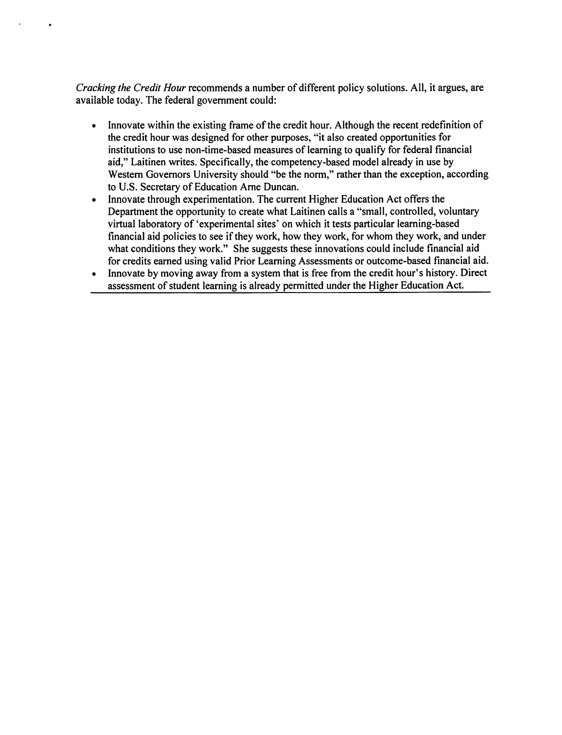*Cracking the Credit Hour* recommends a number of different policy solutions. All, it argues, are available today. The federal government could:

- Innovate within the existing frame of the credit hour. Although the recent redefinition of the credit hour was designed for other purposes, "it also created opportunities for institutions to use non-time-based measures of learning to qualify for federal financial aid," Laitinen writes. Specifically, the competency-based model already in use by Western Governors University should "be the norm," rather than the exception, according to U.S. Secretary of Education Ame Duncan.
- Innovate through experimentation. The current Higher Education Act offers the Department the opportunity to create what Laitinen calls a "small, controlled, voluntary virtual laboratory of 'experimental sites' on which it tests particular learning-based financial aid policies to see if they work, how they work, for whom they work, and under what conditions they work." She suggests these innovations could include financial aid for credits earned using valid Prior Leaming Assessments or outcome-based financial aid.
- Innovate by moving away from a system that is free from the credit hour's history. Direct  $\bullet$ assessment of student learning is already permitted under the Higher Education Act.